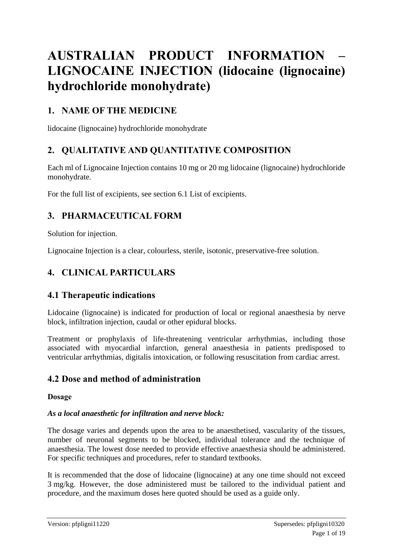# **AUSTRALIAN PRODUCT INFORMATION – LIGNOCAINE INJECTION (lidocaine (lignocaine) hydrochloride monohydrate)**

# **1. NAME OF THE MEDICINE**

lidocaine (lignocaine) hydrochloride monohydrate

# **2. QUALITATIVE AND QUANTITATIVE COMPOSITION**

Each ml of Lignocaine Injection contains 10 mg or 20 mg lidocaine (lignocaine) hydrochloride monohydrate.

For the full list of excipients, see section 6.1 List of excipients.

# **3. PHARMACEUTICAL FORM**

Solution for injection.

Lignocaine Injection is a clear, colourless, sterile, isotonic, preservative-free solution.

# **4. CLINICAL PARTICULARS**

# **4.1 Therapeutic indications**

Lidocaine (lignocaine) is indicated for production of local or regional anaesthesia by nerve block, infiltration injection, caudal or other epidural blocks.

Treatment or prophylaxis of life-threatening ventricular arrhythmias, including those associated with myocardial infarction, general anaesthesia in patients predisposed to ventricular arrhythmias, digitalis intoxication, or following resuscitation from cardiac arrest.

# **4.2 Dose and method of administration**

#### **Dosage**

### *As a local anaesthetic for infiltration and nerve block:*

The dosage varies and depends upon the area to be anaesthetised, vascularity of the tissues, number of neuronal segments to be blocked, individual tolerance and the technique of anaesthesia. The lowest dose needed to provide effective anaesthesia should be administered. For specific techniques and procedures, refer to standard textbooks.

It is recommended that the dose of lidocaine (lignocaine) at any one time should not exceed 3 mg/kg. However, the dose administered must be tailored to the individual patient and procedure, and the maximum doses here quoted should be used as a guide only.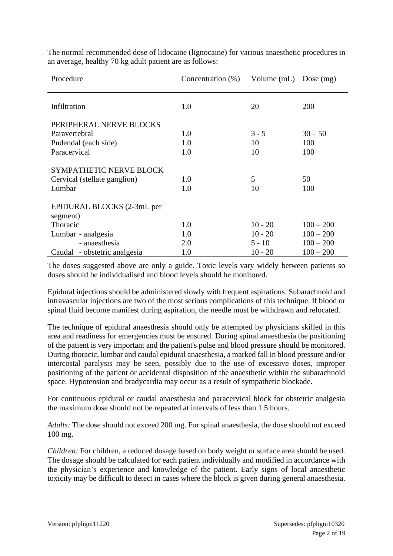| Procedure                              | Concentration $(\%)$ | Volume (mL) | Dose $(mg)$ |
|----------------------------------------|----------------------|-------------|-------------|
|                                        |                      |             |             |
| Infiltration                           | 1.0                  | 20          | 200         |
| PERIPHERAL NERVE BLOCKS                |                      |             |             |
| Paravertebral                          | 1.0                  | $3 - 5$     | $30 - 50$   |
| Pudendal (each side)                   | 1.0                  | 10          | 100         |
| Paracervical                           | 1.0                  | 10          | 100         |
| <b>SYMPATHETIC NERVE BLOCK</b>         |                      |             |             |
| Cervical (stellate ganglion)           | 1.0                  | 5           | 50          |
| Lumbar                                 | 1.0                  | 10          | 100         |
| EPIDURAL BLOCKS (2-3mL per<br>segment) |                      |             |             |
| Thoracic                               | 1.0                  | $10 - 20$   | $100 - 200$ |
| Lumbar - analgesia                     | 1.0                  | $10 - 20$   | $100 - 200$ |
| - anaesthesia                          | 2.0                  | $5 - 10$    | $100 - 200$ |
| - obstetric analgesia<br>Caudal        | 1.0                  | $10 - 20$   | $100 - 200$ |

The normal recommended dose of lidocaine (lignocaine) for various anaesthetic procedures in an average, healthy 70 kg adult patient are as follows:

The doses suggested above are only a guide. Toxic levels vary widely between patients so doses should be individualised and blood levels should be monitored.

Epidural injections should be administered slowly with frequent aspirations. Subarachnoid and intravascular injections are two of the most serious complications of this technique. If blood or spinal fluid become manifest during aspiration, the needle must be withdrawn and relocated.

The technique of epidural anaesthesia should only be attempted by physicians skilled in this area and readiness for emergencies must be ensured. During spinal anaesthesia the positioning of the patient is very important and the patient's pulse and blood pressure should be monitored. During thoracic, lumbar and caudal epidural anaesthesia, a marked fall in blood pressure and/or intercostal paralysis may be seen, possibly due to the use of excessive doses, improper positioning of the patient or accidental disposition of the anaesthetic within the subarachnoid space. Hypotension and bradycardia may occur as a result of sympathetic blockade.

For continuous epidural or caudal anaesthesia and paracervical block for obstetric analgesia the maximum dose should not be repeated at intervals of less than 1.5 hours.

*Adults:* The dose should not exceed 200 mg. For spinal anaesthesia, the dose should not exceed 100 mg.

*Children:* For children, a reduced dosage based on body weight or surface area should be used. The dosage should be calculated for each patient individually and modified in accordance with the physician's experience and knowledge of the patient. Early signs of local anaesthetic toxicity may be difficult to detect in cases where the block is given during general anaesthesia.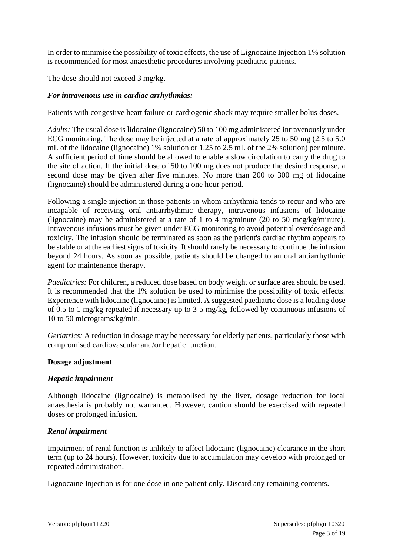In order to minimise the possibility of toxic effects, the use of Lignocaine Injection 1% solution is recommended for most anaesthetic procedures involving paediatric patients.

The dose should not exceed 3 mg/kg.

#### *For intravenous use in cardiac arrhythmias:*

Patients with congestive heart failure or cardiogenic shock may require smaller bolus doses.

*Adults:* The usual dose is lidocaine (lignocaine) 50 to 100 mg administered intravenously under ECG monitoring. The dose may be injected at a rate of approximately 25 to 50 mg (2.5 to 5.0 mL of the lidocaine (lignocaine) 1% solution or 1.25 to 2.5 mL of the 2% solution) per minute. A sufficient period of time should be allowed to enable a slow circulation to carry the drug to the site of action. If the initial dose of 50 to 100 mg does not produce the desired response, a second dose may be given after five minutes. No more than 200 to 300 mg of lidocaine (lignocaine) should be administered during a one hour period.

Following a single injection in those patients in whom arrhythmia tends to recur and who are incapable of receiving oral antiarrhythmic therapy, intravenous infusions of lidocaine (lignocaine) may be administered at a rate of 1 to 4 mg/minute (20 to 50 mcg/kg/minute). Intravenous infusions must be given under ECG monitoring to avoid potential overdosage and toxicity. The infusion should be terminated as soon as the patient's cardiac rhythm appears to be stable or at the earliest signs of toxicity. It should rarely be necessary to continue the infusion beyond 24 hours. As soon as possible, patients should be changed to an oral antiarrhythmic agent for maintenance therapy.

*Paediatrics:* For children, a reduced dose based on body weight or surface area should be used. It is recommended that the 1% solution be used to minimise the possibility of toxic effects. Experience with lidocaine (lignocaine) is limited. A suggested paediatric dose is a loading dose of 0.5 to 1 mg/kg repeated if necessary up to 3-5 mg/kg, followed by continuous infusions of 10 to 50 micrograms/kg/min.

*Geriatrics:* A reduction in dosage may be necessary for elderly patients, particularly those with compromised cardiovascular and/or hepatic function.

#### **Dosage adjustment**

#### *Hepatic impairment*

Although lidocaine (lignocaine) is metabolised by the liver, dosage reduction for local anaesthesia is probably not warranted. However, caution should be exercised with repeated doses or prolonged infusion.

### *Renal impairment*

Impairment of renal function is unlikely to affect lidocaine (lignocaine) clearance in the short term (up to 24 hours). However, toxicity due to accumulation may develop with prolonged or repeated administration.

Lignocaine Injection is for one dose in one patient only. Discard any remaining contents.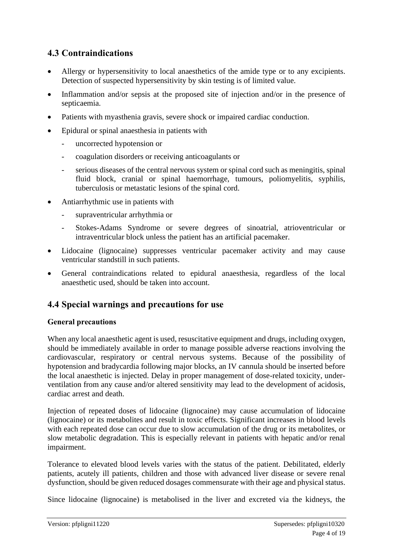# **4.3 Contraindications**

- Allergy or hypersensitivity to local anaesthetics of the amide type or to any excipients. Detection of suspected hypersensitivity by skin testing is of limited value.
- Inflammation and/or sepsis at the proposed site of injection and/or in the presence of septicaemia.
- Patients with myasthenia gravis, severe shock or impaired cardiac conduction.
- Epidural or spinal anaesthesia in patients with
	- uncorrected hypotension or
	- coagulation disorders or receiving anticoagulants or
	- serious diseases of the central nervous system or spinal cord such as meningitis, spinal fluid block, cranial or spinal haemorrhage, tumours, poliomyelitis, syphilis, tuberculosis or metastatic lesions of the spinal cord.
- Antiarrhythmic use in patients with
	- supraventricular arrhythmia or
	- Stokes-Adams Syndrome or severe degrees of sinoatrial, atrioventricular or intraventricular block unless the patient has an artificial pacemaker.
- Lidocaine (lignocaine) suppresses ventricular pacemaker activity and may cause ventricular standstill in such patients.
- General contraindications related to epidural anaesthesia, regardless of the local anaesthetic used, should be taken into account.

# **4.4 Special warnings and precautions for use**

### **General precautions**

When any local anaesthetic agent is used, resuscitative equipment and drugs, including oxygen, should be immediately available in order to manage possible adverse reactions involving the cardiovascular, respiratory or central nervous systems. Because of the possibility of hypotension and bradycardia following major blocks, an IV cannula should be inserted before the local anaesthetic is injected. Delay in proper management of dose-related toxicity, underventilation from any cause and/or altered sensitivity may lead to the development of acidosis, cardiac arrest and death.

Injection of repeated doses of lidocaine (lignocaine) may cause accumulation of lidocaine (lignocaine) or its metabolites and result in toxic effects. Significant increases in blood levels with each repeated dose can occur due to slow accumulation of the drug or its metabolites, or slow metabolic degradation. This is especially relevant in patients with hepatic and/or renal impairment.

Tolerance to elevated blood levels varies with the status of the patient. Debilitated, elderly patients, acutely ill patients, children and those with advanced liver disease or severe renal dysfunction, should be given reduced dosages commensurate with their age and physical status.

Since lidocaine (lignocaine) is metabolised in the liver and excreted via the kidneys, the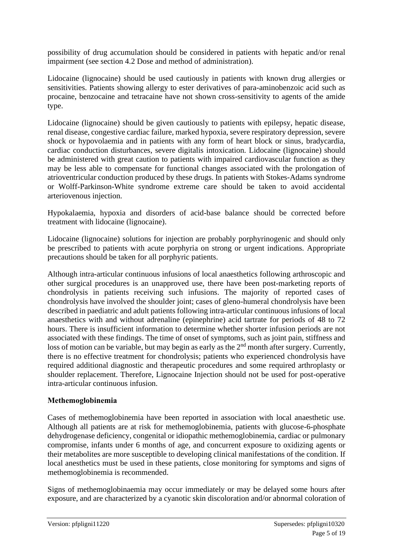possibility of drug accumulation should be considered in patients with hepatic and/or renal impairment (see section 4.2 Dose and method of administration).

Lidocaine (lignocaine) should be used cautiously in patients with known drug allergies or sensitivities. Patients showing allergy to ester derivatives of para-aminobenzoic acid such as procaine, benzocaine and tetracaine have not shown cross-sensitivity to agents of the amide type.

Lidocaine (lignocaine) should be given cautiously to patients with epilepsy, hepatic disease, renal disease, congestive cardiac failure, marked hypoxia, severe respiratory depression, severe shock or hypovolaemia and in patients with any form of heart block or sinus, bradycardia, cardiac conduction disturbances, severe digitalis intoxication. Lidocaine (lignocaine) should be administered with great caution to patients with impaired cardiovascular function as they may be less able to compensate for functional changes associated with the prolongation of atrioventricular conduction produced by these drugs. In patients with Stokes-Adams syndrome or Wolff-Parkinson-White syndrome extreme care should be taken to avoid accidental arteriovenous injection.

Hypokalaemia, hypoxia and disorders of acid-base balance should be corrected before treatment with lidocaine (lignocaine).

Lidocaine (lignocaine) solutions for injection are probably porphyrinogenic and should only be prescribed to patients with acute porphyria on strong or urgent indications. Appropriate precautions should be taken for all porphyric patients.

Although intra-articular continuous infusions of local anaesthetics following arthroscopic and other surgical procedures is an unapproved use, there have been post-marketing reports of chondrolysis in patients receiving such infusions. The majority of reported cases of chondrolysis have involved the shoulder joint; cases of gleno-humeral chondrolysis have been described in paediatric and adult patients following intra-articular continuous infusions of local anaesthetics with and without adrenaline (epinephrine) acid tartrate for periods of 48 to 72 hours. There is insufficient information to determine whether shorter infusion periods are not associated with these findings. The time of onset of symptoms, such as joint pain, stiffness and loss of motion can be variable, but may begin as early as the 2<sup>nd</sup> month after surgery. Currently, there is no effective treatment for chondrolysis; patients who experienced chondrolysis have required additional diagnostic and therapeutic procedures and some required arthroplasty or shoulder replacement. Therefore, Lignocaine Injection should not be used for post-operative intra-articular continuous infusion.

### **Methemoglobinemia**

Cases of methemoglobinemia have been reported in association with local anaesthetic use. Although all patients are at risk for methemoglobinemia, patients with glucose-6-phosphate dehydrogenase deficiency, congenital or idiopathic methemoglobinemia, cardiac or pulmonary compromise, infants under 6 months of age, and concurrent exposure to oxidizing agents or their metabolites are more susceptible to developing clinical manifestations of the condition. If local anesthetics must be used in these patients, close monitoring for symptoms and signs of methemoglobinemia is recommended.

Signs of methemoglobinaemia may occur immediately or may be delayed some hours after exposure, and are characterized by a cyanotic skin discoloration and/or abnormal coloration of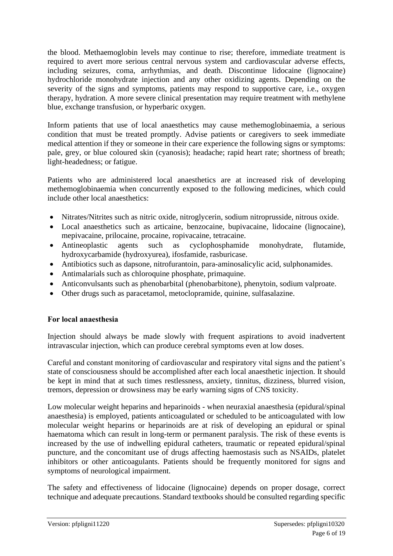the blood. Methaemoglobin levels may continue to rise; therefore, immediate treatment is required to avert more serious central nervous system and cardiovascular adverse effects, including seizures, coma, arrhythmias, and death. Discontinue lidocaine (lignocaine) hydrochloride monohydrate injection and any other oxidizing agents. Depending on the severity of the signs and symptoms, patients may respond to supportive care, i.e., oxygen therapy, hydration. A more severe clinical presentation may require treatment with methylene blue, exchange transfusion, or hyperbaric oxygen.

Inform patients that use of local anaesthetics may cause methemoglobinaemia, a serious condition that must be treated promptly. Advise patients or caregivers to seek immediate medical attention if they or someone in their care experience the following signs or symptoms: pale, grey, or blue coloured skin (cyanosis); headache; rapid heart rate; shortness of breath; light-headedness; or fatigue.

Patients who are administered local anaesthetics are at increased risk of developing methemoglobinaemia when concurrently exposed to the following medicines, which could include other local anaesthetics:

- Nitrates/Nitrites such as nitric oxide, nitroglycerin, sodium nitroprusside, nitrous oxide.
- Local anaesthetics such as articaine, benzocaine, bupivacaine, lidocaine (lignocaine), mepivacaine, prilocaine, procaine, ropivacaine, tetracaine.
- Antineoplastic agents such as cyclophosphamide monohydrate, flutamide, hydroxycarbamide (hydroxyurea), ifosfamide, rasburicase.
- Antibiotics such as dapsone, nitrofurantoin, para-aminosalicylic acid, sulphonamides.
- Antimalarials such as chloroquine phosphate, primaquine.
- Anticonvulsants such as phenobarbital (phenobarbitone), phenytoin, sodium valproate.
- Other drugs such as paracetamol, metoclopramide, quinine, sulfasalazine.

### **For local anaesthesia**

Injection should always be made slowly with frequent aspirations to avoid inadvertent intravascular injection, which can produce cerebral symptoms even at low doses.

Careful and constant monitoring of cardiovascular and respiratory vital signs and the patient's state of consciousness should be accomplished after each local anaesthetic injection. It should be kept in mind that at such times restlessness, anxiety, tinnitus, dizziness, blurred vision, tremors, depression or drowsiness may be early warning signs of CNS toxicity.

Low molecular weight heparins and heparinoids - when neuraxial anaesthesia (epidural/spinal anaesthesia) is employed, patients anticoagulated or scheduled to be anticoagulated with low molecular weight heparins or heparinoids are at risk of developing an epidural or spinal haematoma which can result in long-term or permanent paralysis. The risk of these events is increased by the use of indwelling epidural catheters, traumatic or repeated epidural/spinal puncture, and the concomitant use of drugs affecting haemostasis such as NSAIDs, platelet inhibitors or other anticoagulants. Patients should be frequently monitored for signs and symptoms of neurological impairment.

The safety and effectiveness of lidocaine (lignocaine) depends on proper dosage, correct technique and adequate precautions. Standard textbooks should be consulted regarding specific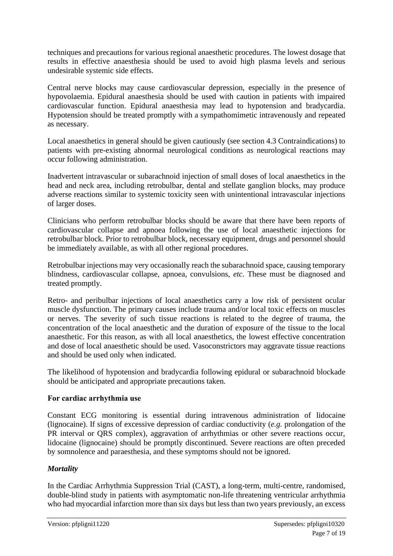techniques and precautions for various regional anaesthetic procedures. The lowest dosage that results in effective anaesthesia should be used to avoid high plasma levels and serious undesirable systemic side effects.

Central nerve blocks may cause cardiovascular depression, especially in the presence of hypovolaemia. Epidural anaesthesia should be used with caution in patients with impaired cardiovascular function. Epidural anaesthesia may lead to hypotension and bradycardia. Hypotension should be treated promptly with a sympathomimetic intravenously and repeated as necessary.

Local anaesthetics in general should be given cautiously (see section 4.3 Contraindications) to patients with pre-existing abnormal neurological conditions as neurological reactions may occur following administration.

Inadvertent intravascular or subarachnoid injection of small doses of local anaesthetics in the head and neck area, including retrobulbar, dental and stellate ganglion blocks, may produce adverse reactions similar to systemic toxicity seen with unintentional intravascular injections of larger doses.

Clinicians who perform retrobulbar blocks should be aware that there have been reports of cardiovascular collapse and apnoea following the use of local anaesthetic injections for retrobulbar block. Prior to retrobulbar block, necessary equipment, drugs and personnel should be immediately available, as with all other regional procedures.

Retrobulbar injections may very occasionally reach the subarachnoid space, causing temporary blindness, cardiovascular collapse, apnoea, convulsions, *etc*. These must be diagnosed and treated promptly.

Retro- and peribulbar injections of local anaesthetics carry a low risk of persistent ocular muscle dysfunction. The primary causes include trauma and/or local toxic effects on muscles or nerves. The severity of such tissue reactions is related to the degree of trauma, the concentration of the local anaesthetic and the duration of exposure of the tissue to the local anaesthetic. For this reason, as with all local anaesthetics, the lowest effective concentration and dose of local anaesthetic should be used. Vasoconstrictors may aggravate tissue reactions and should be used only when indicated.

The likelihood of hypotension and bradycardia following epidural or subarachnoid blockade should be anticipated and appropriate precautions taken.

#### **For cardiac arrhythmia use**

Constant ECG monitoring is essential during intravenous administration of lidocaine (lignocaine). If signs of excessive depression of cardiac conductivity (*e.g.* prolongation of the PR interval or QRS complex), aggravation of arrhythmias or other severe reactions occur, lidocaine (lignocaine) should be promptly discontinued. Severe reactions are often preceded by somnolence and paraesthesia, and these symptoms should not be ignored.

### *Mortality*

In the Cardiac Arrhythmia Suppression Trial (CAST), a long-term, multi-centre, randomised, double-blind study in patients with asymptomatic non-life threatening ventricular arrhythmia who had myocardial infarction more than six days but less than two years previously, an excess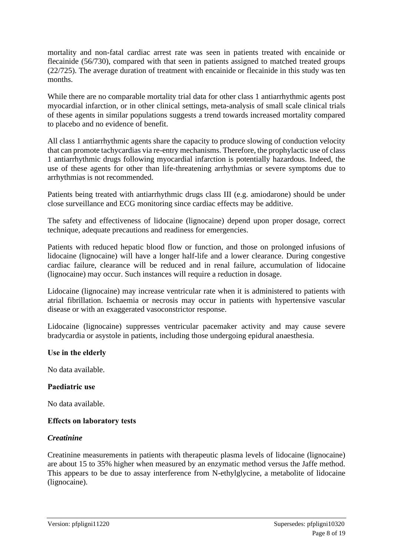mortality and non-fatal cardiac arrest rate was seen in patients treated with encainide or flecainide (56/730), compared with that seen in patients assigned to matched treated groups (22/725). The average duration of treatment with encainide or flecainide in this study was ten months.

While there are no comparable mortality trial data for other class 1 antiarrhythmic agents post myocardial infarction, or in other clinical settings, meta-analysis of small scale clinical trials of these agents in similar populations suggests a trend towards increased mortality compared to placebo and no evidence of benefit.

All class 1 antiarrhythmic agents share the capacity to produce slowing of conduction velocity that can promote tachycardias via re-entry mechanisms. Therefore, the prophylactic use of class 1 antiarrhythmic drugs following myocardial infarction is potentially hazardous. Indeed, the use of these agents for other than life-threatening arrhythmias or severe symptoms due to arrhythmias is not recommended.

Patients being treated with antiarrhythmic drugs class III (e.g. amiodarone) should be under close surveillance and ECG monitoring since cardiac effects may be additive.

The safety and effectiveness of lidocaine (lignocaine) depend upon proper dosage, correct technique, adequate precautions and readiness for emergencies.

Patients with reduced hepatic blood flow or function, and those on prolonged infusions of lidocaine (lignocaine) will have a longer half-life and a lower clearance. During congestive cardiac failure, clearance will be reduced and in renal failure, accumulation of lidocaine (lignocaine) may occur. Such instances will require a reduction in dosage.

Lidocaine (lignocaine) may increase ventricular rate when it is administered to patients with atrial fibrillation. Ischaemia or necrosis may occur in patients with hypertensive vascular disease or with an exaggerated vasoconstrictor response.

Lidocaine (lignocaine) suppresses ventricular pacemaker activity and may cause severe bradycardia or asystole in patients, including those undergoing epidural anaesthesia.

#### **Use in the elderly**

No data available.

#### **Paediatric use**

No data available.

#### **Effects on laboratory tests**

#### *Creatinine*

Creatinine measurements in patients with therapeutic plasma levels of lidocaine (lignocaine) are about 15 to 35% higher when measured by an enzymatic method versus the Jaffe method. This appears to be due to assay interference from N-ethylglycine, a metabolite of lidocaine (lignocaine).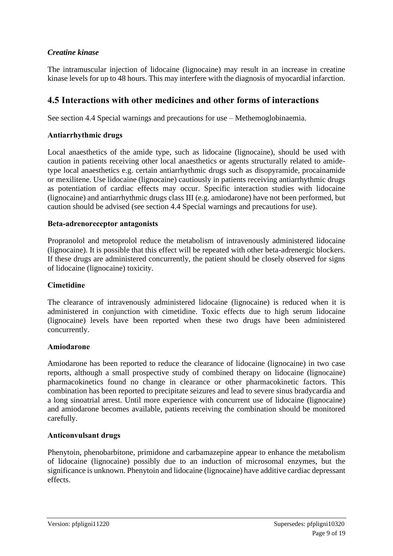### *Creatine kinase*

The intramuscular injection of lidocaine (lignocaine) may result in an increase in creatine kinase levels for up to 48 hours. This may interfere with the diagnosis of myocardial infarction.

# **4.5 Interactions with other medicines and other forms of interactions**

See section 4.4 Special warnings and precautions for use – Methemoglobinaemia.

#### **Antiarrhythmic drugs**

Local anaesthetics of the amide type, such as lidocaine (lignocaine), should be used with caution in patients receiving other local anaesthetics or agents structurally related to amidetype local anaesthetics e.g. certain antiarrhythmic drugs such as disopyramide, procainamide or mexilitene. Use lidocaine (lignocaine) cautiously in patients receiving antiarrhythmic drugs as potentiation of cardiac effects may occur. Specific interaction studies with lidocaine (lignocaine) and antiarrhythmic drugs class III (e.g. amiodarone) have not been performed, but caution should be advised (see section 4.4 Special warnings and precautions for use).

#### **Beta-adrenoreceptor antagonists**

Propranolol and metoprolol reduce the metabolism of intravenously administered lidocaine (lignocaine). It is possible that this effect will be repeated with other beta-adrenergic blockers. If these drugs are administered concurrently, the patient should be closely observed for signs of lidocaine (lignocaine) toxicity.

#### **Cimetidine**

The clearance of intravenously administered lidocaine (lignocaine) is reduced when it is administered in conjunction with cimetidine. Toxic effects due to high serum lidocaine (lignocaine) levels have been reported when these two drugs have been administered concurrently.

#### **Amiodarone**

Amiodarone has been reported to reduce the clearance of lidocaine (lignocaine) in two case reports, although a small prospective study of combined therapy on lidocaine (lignocaine) pharmacokinetics found no change in clearance or other pharmacokinetic factors. This combination has been reported to precipitate seizures and lead to severe sinus bradycardia and a long sinoatrial arrest. Until more experience with concurrent use of lidocaine (lignocaine) and amiodarone becomes available, patients receiving the combination should be monitored carefully.

#### **Anticonvulsant drugs**

Phenytoin, phenobarbitone, primidone and carbamazepine appear to enhance the metabolism of lidocaine (lignocaine) possibly due to an induction of microsomal enzymes, but the significance is unknown. Phenytoin and lidocaine (lignocaine) have additive cardiac depressant effects.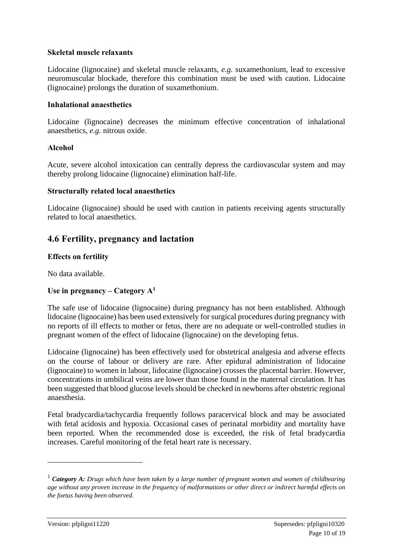#### **Skeletal muscle relaxants**

Lidocaine (lignocaine) and skeletal muscle relaxants, *e.g.* suxamethonium, lead to excessive neuromuscular blockade, therefore this combination must be used with caution. Lidocaine (lignocaine) prolongs the duration of suxamethonium.

#### **Inhalational anaesthetics**

Lidocaine (lignocaine) decreases the minimum effective concentration of inhalational anaesthetics, *e.g.* nitrous oxide.

#### **Alcohol**

Acute, severe alcohol intoxication can centrally depress the cardiovascular system and may thereby prolong lidocaine (lignocaine) elimination half-life.

#### **Structurally related local anaesthetics**

Lidocaine (lignocaine) should be used with caution in patients receiving agents structurally related to local anaesthetics.

### **4.6 Fertility, pregnancy and lactation**

#### **Effects on fertility**

No data available.

#### Use in pregnancy – Category  $A<sup>1</sup>$

The safe use of lidocaine (lignocaine) during pregnancy has not been established. Although lidocaine (lignocaine) has been used extensively for surgical procedures during pregnancy with no reports of ill effects to mother or fetus, there are no adequate or well-controlled studies in pregnant women of the effect of lidocaine (lignocaine) on the developing fetus.

Lidocaine (lignocaine) has been effectively used for obstetrical analgesia and adverse effects on the course of labour or delivery are rare. After epidural administration of lidocaine (lignocaine) to women in labour, lidocaine (lignocaine) crosses the placental barrier. However, concentrations in umbilical veins are lower than those found in the maternal circulation. It has been suggested that blood glucose levels should be checked in newborns after obstetric regional anaesthesia.

Fetal bradycardia/tachycardia frequently follows paracervical block and may be associated with fetal acidosis and hypoxia. Occasional cases of perinatal morbidity and mortality have been reported. When the recommended dose is exceeded, the risk of fetal bradycardia increases. Careful monitoring of the fetal heart rate is necessary.

<sup>1</sup> *Category A: Drugs which have been taken by a large number of pregnant women and women of childbearing age without any proven increase in the frequency of malformations or other direct or indirect harmful effects on the foetus having been observed.*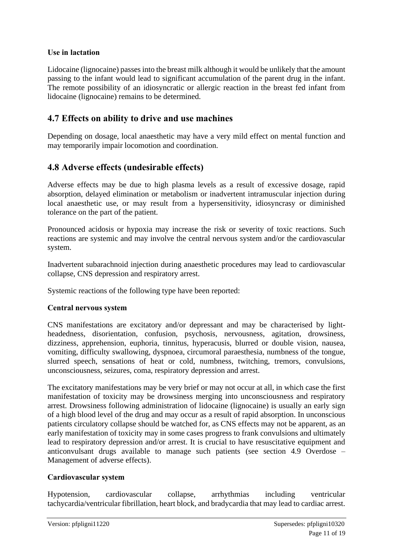### **Use in lactation**

Lidocaine (lignocaine) passes into the breast milk although it would be unlikely that the amount passing to the infant would lead to significant accumulation of the parent drug in the infant. The remote possibility of an idiosyncratic or allergic reaction in the breast fed infant from lidocaine (lignocaine) remains to be determined.

# **4.7 Effects on ability to drive and use machines**

Depending on dosage, local anaesthetic may have a very mild effect on mental function and may temporarily impair locomotion and coordination.

# **4.8 Adverse effects (undesirable effects)**

Adverse effects may be due to high plasma levels as a result of excessive dosage, rapid absorption, delayed elimination or metabolism or inadvertent intramuscular injection during local anaesthetic use, or may result from a hypersensitivity, idiosyncrasy or diminished tolerance on the part of the patient.

Pronounced acidosis or hypoxia may increase the risk or severity of toxic reactions. Such reactions are systemic and may involve the central nervous system and/or the cardiovascular system.

Inadvertent subarachnoid injection during anaesthetic procedures may lead to cardiovascular collapse, CNS depression and respiratory arrest.

Systemic reactions of the following type have been reported:

### **Central nervous system**

CNS manifestations are excitatory and/or depressant and may be characterised by lightheadedness, disorientation, confusion, psychosis, nervousness, agitation, drowsiness, dizziness, apprehension, euphoria, tinnitus, hyperacusis, blurred or double vision, nausea, vomiting, difficulty swallowing, dyspnoea, circumoral paraesthesia, numbness of the tongue, slurred speech, sensations of heat or cold, numbness, twitching, tremors, convulsions, unconsciousness, seizures, coma, respiratory depression and arrest.

The excitatory manifestations may be very brief or may not occur at all, in which case the first manifestation of toxicity may be drowsiness merging into unconsciousness and respiratory arrest. Drowsiness following administration of lidocaine (lignocaine) is usually an early sign of a high blood level of the drug and may occur as a result of rapid absorption. In unconscious patients circulatory collapse should be watched for, as CNS effects may not be apparent, as an early manifestation of toxicity may in some cases progress to frank convulsions and ultimately lead to respiratory depression and/or arrest. It is crucial to have resuscitative equipment and anticonvulsant drugs available to manage such patients (see section 4.9 Overdose – Management of adverse effects).

### **Cardiovascular system**

Hypotension, cardiovascular collapse, arrhythmias including ventricular tachycardia/ventricular fibrillation, heart block, and bradycardia that may lead to cardiac arrest.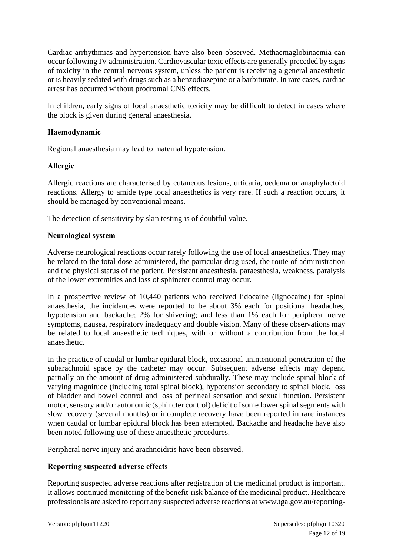Cardiac arrhythmias and hypertension have also been observed. Methaemaglobinaemia can occur following IV administration. Cardiovascular toxic effects are generally preceded by signs of toxicity in the central nervous system, unless the patient is receiving a general anaesthetic or is heavily sedated with drugs such as a benzodiazepine or a barbiturate. In rare cases, cardiac arrest has occurred without prodromal CNS effects.

In children, early signs of local anaesthetic toxicity may be difficult to detect in cases where the block is given during general anaesthesia.

#### **Haemodynamic**

Regional anaesthesia may lead to maternal hypotension.

#### **Allergic**

Allergic reactions are characterised by cutaneous lesions, urticaria, oedema or anaphylactoid reactions. Allergy to amide type local anaesthetics is very rare. If such a reaction occurs, it should be managed by conventional means.

The detection of sensitivity by skin testing is of doubtful value.

#### **Neurological system**

Adverse neurological reactions occur rarely following the use of local anaesthetics. They may be related to the total dose administered, the particular drug used, the route of administration and the physical status of the patient. Persistent anaesthesia, paraesthesia, weakness, paralysis of the lower extremities and loss of sphincter control may occur.

In a prospective review of 10,440 patients who received lidocaine (lignocaine) for spinal anaesthesia, the incidences were reported to be about 3% each for positional headaches, hypotension and backache; 2% for shivering; and less than 1% each for peripheral nerve symptoms, nausea, respiratory inadequacy and double vision. Many of these observations may be related to local anaesthetic techniques, with or without a contribution from the local anaesthetic.

In the practice of caudal or lumbar epidural block, occasional unintentional penetration of the subarachnoid space by the catheter may occur. Subsequent adverse effects may depend partially on the amount of drug administered subdurally. These may include spinal block of varying magnitude (including total spinal block), hypotension secondary to spinal block, loss of bladder and bowel control and loss of perineal sensation and sexual function. Persistent motor, sensory and/or autonomic (sphincter control) deficit of some lower spinal segments with slow recovery (several months) or incomplete recovery have been reported in rare instances when caudal or lumbar epidural block has been attempted. Backache and headache have also been noted following use of these anaesthetic procedures.

Peripheral nerve injury and arachnoiditis have been observed.

### **Reporting suspected adverse effects**

Reporting suspected adverse reactions after registration of the medicinal product is important. It allows continued monitoring of the benefit-risk balance of the medicinal product. Healthcare professionals are asked to report any suspected adverse reactions at [www.tga.gov.au/reporting-](http://www.tga.gov.au/reporting-problems)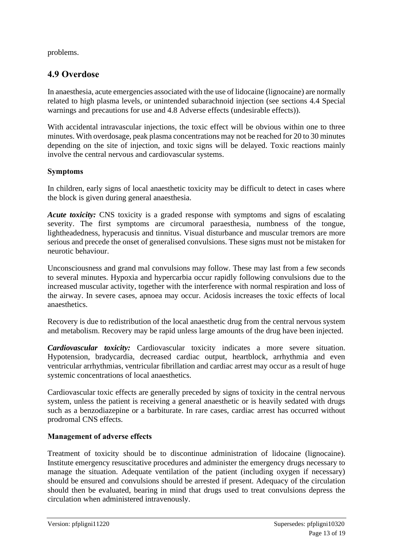[problems.](http://www.tga.gov.au/reporting-problems)

# **4.9 Overdose**

In anaesthesia, acute emergencies associated with the use of lidocaine (lignocaine) are normally related to high plasma levels, or unintended subarachnoid injection (see sections 4.4 Special warnings and precautions for use and 4.8 Adverse effects (undesirable effects)).

With accidental intravascular injections, the toxic effect will be obvious within one to three minutes. With overdosage, peak plasma concentrations may not be reached for 20 to 30 minutes depending on the site of injection, and toxic signs will be delayed. Toxic reactions mainly involve the central nervous and cardiovascular systems.

### **Symptoms**

In children, early signs of local anaesthetic toxicity may be difficult to detect in cases where the block is given during general anaesthesia.

*Acute toxicity:* CNS toxicity is a graded response with symptoms and signs of escalating severity. The first symptoms are circumoral paraesthesia, numbness of the tongue, lightheadedness, hyperacusis and tinnitus. Visual disturbance and muscular tremors are more serious and precede the onset of generalised convulsions. These signs must not be mistaken for neurotic behaviour.

Unconsciousness and grand mal convulsions may follow. These may last from a few seconds to several minutes. Hypoxia and hypercarbia occur rapidly following convulsions due to the increased muscular activity, together with the interference with normal respiration and loss of the airway. In severe cases, apnoea may occur. Acidosis increases the toxic effects of local anaesthetics.

Recovery is due to redistribution of the local anaesthetic drug from the central nervous system and metabolism. Recovery may be rapid unless large amounts of the drug have been injected.

*Cardiovascular toxicity:* Cardiovascular toxicity indicates a more severe situation. Hypotension, bradycardia, decreased cardiac output, heartblock, arrhythmia and even ventricular arrhythmias, ventricular fibrillation and cardiac arrest may occur as a result of huge systemic concentrations of local anaesthetics.

Cardiovascular toxic effects are generally preceded by signs of toxicity in the central nervous system, unless the patient is receiving a general anaesthetic or is heavily sedated with drugs such as a benzodiazepine or a barbiturate. In rare cases, cardiac arrest has occurred without prodromal CNS effects.

# **Management of adverse effects**

Treatment of toxicity should be to discontinue administration of lidocaine (lignocaine). Institute emergency resuscitative procedures and administer the emergency drugs necessary to manage the situation. Adequate ventilation of the patient (including oxygen if necessary) should be ensured and convulsions should be arrested if present. Adequacy of the circulation should then be evaluated, bearing in mind that drugs used to treat convulsions depress the circulation when administered intravenously.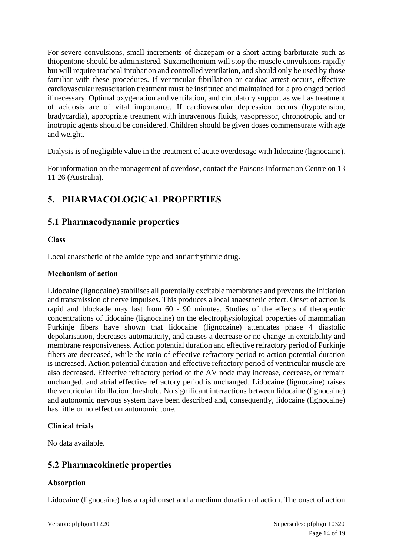For severe convulsions, small increments of diazepam or a short acting barbiturate such as thiopentone should be administered. Suxamethonium will stop the muscle convulsions rapidly but will require tracheal intubation and controlled ventilation, and should only be used by those familiar with these procedures. If ventricular fibrillation or cardiac arrest occurs, effective cardiovascular resuscitation treatment must be instituted and maintained for a prolonged period if necessary. Optimal oxygenation and ventilation, and circulatory support as well as treatment of acidosis are of vital importance. If cardiovascular depression occurs (hypotension, bradycardia), appropriate treatment with intravenous fluids, vasopressor, chronotropic and or inotropic agents should be considered. Children should be given doses commensurate with age and weight.

Dialysis is of negligible value in the treatment of acute overdosage with lidocaine (lignocaine).

For information on the management of overdose, contact the Poisons Information Centre on 13 11 26 (Australia).

# **5. PHARMACOLOGICAL PROPERTIES**

# **5.1 Pharmacodynamic properties**

### **Class**

Local anaesthetic of the amide type and antiarrhythmic drug.

#### **Mechanism of action**

Lidocaine (lignocaine) stabilises all potentially excitable membranes and prevents the initiation and transmission of nerve impulses. This produces a local anaesthetic effect. Onset of action is rapid and blockade may last from 60 - 90 minutes. Studies of the effects of therapeutic concentrations of lidocaine (lignocaine) on the electrophysiological properties of mammalian Purkinje fibers have shown that lidocaine (lignocaine) attenuates phase 4 diastolic depolarisation, decreases automaticity, and causes a decrease or no change in excitability and membrane responsiveness. Action potential duration and effective refractory period of Purkinje fibers are decreased, while the ratio of effective refractory period to action potential duration is increased. Action potential duration and effective refractory period of ventricular muscle are also decreased. Effective refractory period of the AV node may increase, decrease, or remain unchanged, and atrial effective refractory period is unchanged. Lidocaine (lignocaine) raises the ventricular fibrillation threshold. No significant interactions between lidocaine (lignocaine) and autonomic nervous system have been described and, consequently, lidocaine (lignocaine) has little or no effect on autonomic tone.

### **Clinical trials**

No data available.

# **5.2 Pharmacokinetic properties**

### **Absorption**

Lidocaine (lignocaine) has a rapid onset and a medium duration of action. The onset of action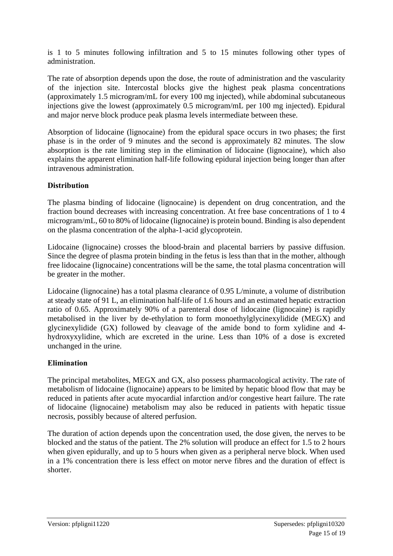is 1 to 5 minutes following infiltration and 5 to 15 minutes following other types of administration.

The rate of absorption depends upon the dose, the route of administration and the vascularity of the injection site. Intercostal blocks give the highest peak plasma concentrations (approximately 1.5 microgram/mL for every 100 mg injected), while abdominal subcutaneous injections give the lowest (approximately 0.5 microgram/mL per 100 mg injected). Epidural and major nerve block produce peak plasma levels intermediate between these.

Absorption of lidocaine (lignocaine) from the epidural space occurs in two phases; the first phase is in the order of 9 minutes and the second is approximately 82 minutes. The slow absorption is the rate limiting step in the elimination of lidocaine (lignocaine), which also explains the apparent elimination half-life following epidural injection being longer than after intravenous administration.

### **Distribution**

The plasma binding of lidocaine (lignocaine) is dependent on drug concentration, and the fraction bound decreases with increasing concentration. At free base concentrations of 1 to 4 microgram/mL, 60 to 80% of lidocaine (lignocaine) is protein bound. Binding is also dependent on the plasma concentration of the alpha-1-acid glycoprotein.

Lidocaine (lignocaine) crosses the blood-brain and placental barriers by passive diffusion. Since the degree of plasma protein binding in the fetus is less than that in the mother, although free lidocaine (lignocaine) concentrations will be the same, the total plasma concentration will be greater in the mother.

Lidocaine (lignocaine) has a total plasma clearance of 0.95 L/minute, a volume of distribution at steady state of 91 L, an elimination half-life of 1.6 hours and an estimated hepatic extraction ratio of 0.65. Approximately 90% of a parenteral dose of lidocaine (lignocaine) is rapidly metabolised in the liver by de-ethylation to form monoethylglycinexylidide (MEGX) and glycinexylidide (GX) followed by cleavage of the amide bond to form xylidine and 4 hydroxyxylidine, which are excreted in the urine. Less than 10% of a dose is excreted unchanged in the urine.

### **Elimination**

The principal metabolites, MEGX and GX, also possess pharmacological activity. The rate of metabolism of lidocaine (lignocaine) appears to be limited by hepatic blood flow that may be reduced in patients after acute myocardial infarction and/or congestive heart failure. The rate of lidocaine (lignocaine) metabolism may also be reduced in patients with hepatic tissue necrosis, possibly because of altered perfusion.

The duration of action depends upon the concentration used, the dose given, the nerves to be blocked and the status of the patient. The 2% solution will produce an effect for 1.5 to 2 hours when given epidurally, and up to 5 hours when given as a peripheral nerve block. When used in a 1% concentration there is less effect on motor nerve fibres and the duration of effect is shorter.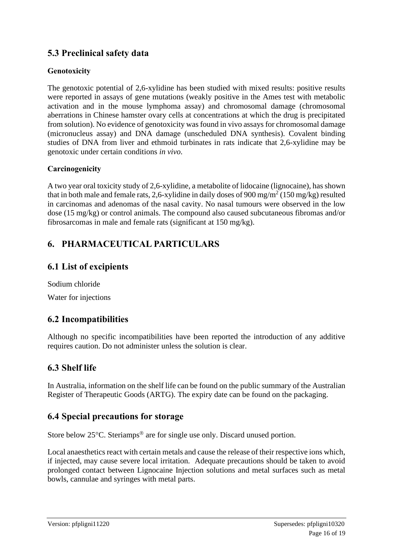# **5.3 Preclinical safety data**

### **Genotoxicity**

The genotoxic potential of 2,6-xylidine has been studied with mixed results: positive results were reported in assays of gene mutations (weakly positive in the Ames test with metabolic activation and in the mouse lymphoma assay) and chromosomal damage (chromosomal aberrations in Chinese hamster ovary cells at concentrations at which the drug is precipitated from solution). No evidence of genotoxicity was found in vivo assays for chromosomal damage (micronucleus assay) and DNA damage (unscheduled DNA synthesis). Covalent binding studies of DNA from liver and ethmoid turbinates in rats indicate that 2,6-xylidine may be genotoxic under certain conditions *in vivo*.

### **Carcinogenicity**

A two year oral toxicity study of 2,6-xylidine, a metabolite of lidocaine (lignocaine), has shown that in both male and female rats, 2,6-xylidine in daily doses of 900 mg/m<sup>2</sup> (150 mg/kg) resulted in carcinomas and adenomas of the nasal cavity. No nasal tumours were observed in the low dose (15 mg/kg) or control animals. The compound also caused subcutaneous fibromas and/or fibrosarcomas in male and female rats (significant at 150 mg/kg).

# **6. PHARMACEUTICAL PARTICULARS**

# **6.1 List of excipients**

Sodium chloride Water for injections

# **6.2 Incompatibilities**

Although no specific incompatibilities have been reported the introduction of any additive requires caution. Do not administer unless the solution is clear.

# **6.3 Shelf life**

In Australia, information on the shelf life can be found on the public summary of the Australian Register of Therapeutic Goods (ARTG). The expiry date can be found on the packaging.

# **6.4 Special precautions for storage**

Store below  $25^{\circ}$ C. Steriamps<sup>®</sup> are for single use only. Discard unused portion.

Local anaesthetics react with certain metals and cause the release of their respective ions which, if injected, may cause severe local irritation. Adequate precautions should be taken to avoid prolonged contact between Lignocaine Injection solutions and metal surfaces such as metal bowls, cannulae and syringes with metal parts.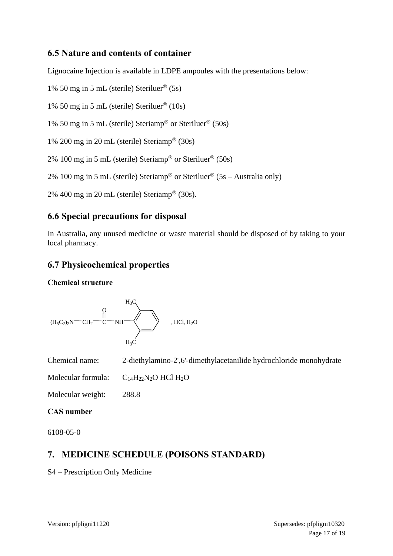# **6.5 Nature and contents of container**

Lignocaine Injection is available in LDPE ampoules with the presentations below:

1% 50 mg in 5 mL (sterile) Steriluer<sup>®</sup> (5s)

1% 50 mg in 5 mL (sterile) Steriluer<sup>®</sup>  $(10s)$ 

1% 50 mg in 5 mL (sterile) Steriamp<sup>®</sup> or Steriluer<sup>®</sup> (50s)

1% 200 mg in 20 mL (sterile) Steriamp<sup>®</sup> (30s)

2% 100 mg in 5 mL (sterile) Steriamp® or Steriluer® (50s)

2% 100 mg in 5 mL (sterile) Steriamp<sup>®</sup> or Steriluer<sup>®</sup> (5s – Australia only)

2% 400 mg in 20 mL (sterile) Steriamp<sup>®</sup> (30s).

# **6.6 Special precautions for disposal**

In Australia, any unused medicine or waste material should be disposed of by taking to your local pharmacy.

# **6.7 Physicochemical properties**

#### **Chemical structure**



Chemical name: 2-diethylamino-2',6'-dimethylacetanilide hydrochloride monohydrate

Molecular formula:  $C_{14}H_{22}N_2O$  HCl  $H_2O$ 

Molecular weight: 288.8

### **CAS number**

6108-05-0

# **7. MEDICINE SCHEDULE (POISONS STANDARD)**

S4 – Prescription Only Medicine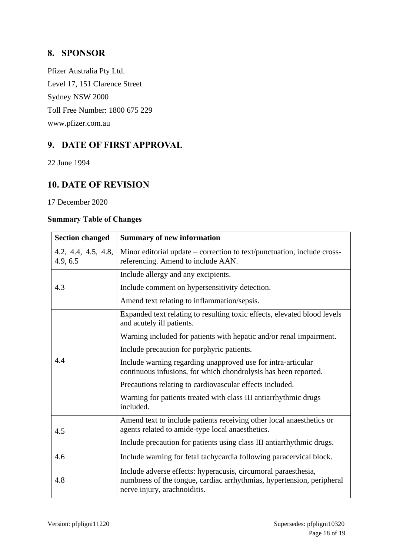# **8. SPONSOR**

Pfizer Australia Pty Ltd. Level 17, 151 Clarence Street Sydney NSW 2000 Toll Free Number: 1800 675 229 [www.pfizer.com.au](http://www.pfizer.com.au/)

# **9. DATE OF FIRST APPROVAL**

22 June 1994

# **10. DATE OF REVISION**

17 December 2020

#### **Summary Table of Changes**

| <b>Section changed</b>          | <b>Summary of new information</b>                                                                                                                                       |  |
|---------------------------------|-------------------------------------------------------------------------------------------------------------------------------------------------------------------------|--|
| 4.2, 4.4, 4.5, 4.8,<br>4.9, 6.5 | Minor editorial update – correction to text/punctuation, include cross-<br>referencing. Amend to include AAN.                                                           |  |
| 4.3                             | Include allergy and any excipients.                                                                                                                                     |  |
|                                 | Include comment on hypersensitivity detection.                                                                                                                          |  |
|                                 | Amend text relating to inflammation/sepsis.                                                                                                                             |  |
| 4.4                             | Expanded text relating to resulting toxic effects, elevated blood levels<br>and acutely ill patients.                                                                   |  |
|                                 | Warning included for patients with hepatic and/or renal impairment.                                                                                                     |  |
|                                 | Include precaution for porphyric patients.                                                                                                                              |  |
|                                 | Include warning regarding unapproved use for intra-articular<br>continuous infusions, for which chondrolysis has been reported.                                         |  |
|                                 | Precautions relating to cardiovascular effects included.                                                                                                                |  |
|                                 | Warning for patients treated with class III antiarrhythmic drugs<br>included.                                                                                           |  |
| 4.5                             | Amend text to include patients receiving other local anaesthetics or<br>agents related to amide-type local anaesthetics.                                                |  |
|                                 | Include precaution for patients using class III antiarrhythmic drugs.                                                                                                   |  |
| 4.6                             | Include warning for fetal tachycardia following paracervical block.                                                                                                     |  |
| 4.8                             | Include adverse effects: hyperacusis, circumoral paraesthesia,<br>numbness of the tongue, cardiac arrhythmias, hypertension, peripheral<br>nerve injury, arachnoiditis. |  |